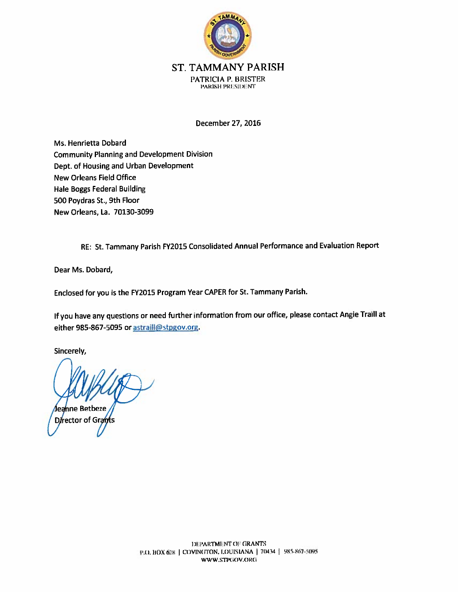

December 27, 2016

Ms. Henrietta Dobard **Community Planning and Development Division** Dept. of Housing and Urban Development **New Orleans Field Office Hale Boggs Federal Building** 500 Poydras St., 9th Floor New Orleans, La. 70130-3099

RE: St. Tammany Parish FY2015 Consolidated Annual Performance and Evaluation Report

Dear Ms. Dobard,

Enclosed for you is the FY2015 Program Year CAPER for St. Tammany Parish.

If you have any questions or need further information from our office, please contact Angie Traill at either 985-867-5095 or astraill@stpgov.org.

Sincerely,

Seanne Betbeze Director of Grants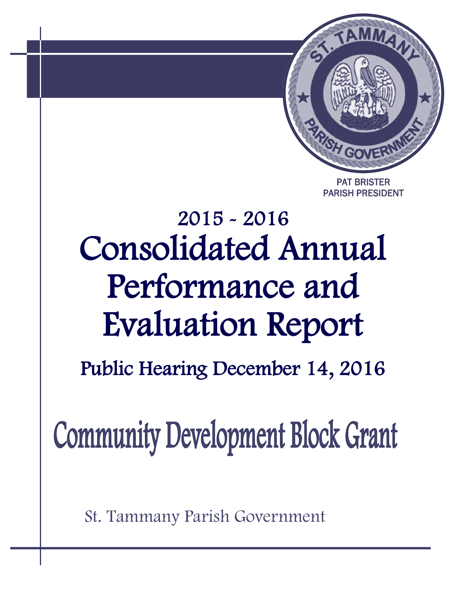

PAT BRISTER PARISH PRESIDENT

# 2015 - 2016 Consolidated Annual Performance and Evaluation Report

Public Hearing December 14, 2016

**Community Development Block Grant** 

St. Tammany Parish Government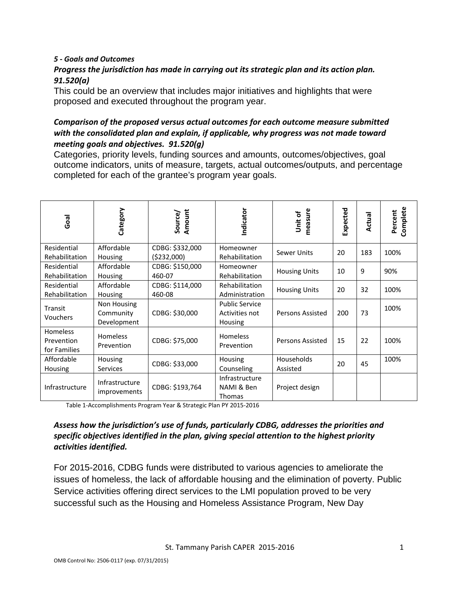#### *5 ‐ Goals and Outcomes*

#### *Progress the jurisdiction has made in carrying out its strategic plan and its action plan. 91.520(a)*

This could be an overview that includes major initiatives and highlights that were proposed and executed throughout the program year.

#### *Comparison of the proposed versus actual outcomes for each outcome measure submitted with the consolidated plan and explain, if applicable, why progress was not made toward meeting goals and objectives. 91.520(g)*

Categories, priority levels, funding sources and amounts, outcomes/objectives, goal outcome indicators, units of measure, targets, actual outcomes/outputs, and percentage completed for each of the grantee's program year goals.

| Goal                                          | Category                                | Amount<br>Source/             | Indicator<br>measure<br>Unit of                    |                        | Expected | Actual | Complete<br>Percent |
|-----------------------------------------------|-----------------------------------------|-------------------------------|----------------------------------------------------|------------------------|----------|--------|---------------------|
| Residential<br><b>Rehabilitation</b>          | Affordable<br><b>Housing</b>            | CDBG: \$332,000<br>(5232,000) | Homeowner<br>Rehabilitation                        | Sewer Units            | 20       | 183    | 100%                |
| Residential<br>Rehabilitation                 | Affordable<br>Housing                   | CDBG: \$150,000<br>460-07     | Homeowner<br>Rehabilitation                        | <b>Housing Units</b>   | 10       | 9      | 90%                 |
| Residential<br>Rehabilitation                 | Affordable<br><b>Housing</b>            | CDBG: \$114,000<br>460-08     | Rehabilitation<br>Administration                   | <b>Housing Units</b>   | 20       | 32     | 100%                |
| Transit<br><b>Vouchers</b>                    | Non Housing<br>Community<br>Development | CDBG: \$30,000                | <b>Public Service</b><br>Activities not<br>Housing | Persons Assisted       | 200      | 73     | 100%                |
| <b>Homeless</b><br>Prevention<br>for Families | <b>Homeless</b><br>Prevention           | CDBG: \$75,000                | <b>Homeless</b><br>Prevention                      | Persons Assisted       | 15       | 22     | 100%                |
| Affordable<br>Housing                         | Housing<br><b>Services</b>              | CDBG: \$33,000                | Housing<br>Counseling                              | Households<br>Assisted | 20       | 45     | 100%                |
| Infrastructure                                | Infrastructure<br>improvements          | CDBG: \$193,764               | Infrastructure<br>NAMI & Ben<br>Thomas             | Project design         |          |        |                     |

Table 1‐Accomplishments Program Year & Strategic Plan PY 2015‐2016

#### *Assess how the jurisdiction's use of funds, particularly CDBG, addresses the priorities and specific objectives identified in the plan, giving special attention to the highest priority activities identified.*

For 2015-2016, CDBG funds were distributed to various agencies to ameliorate the issues of homeless, the lack of affordable housing and the elimination of poverty. Public Service activities offering direct services to the LMI population proved to be very successful such as the Housing and Homeless Assistance Program, New Day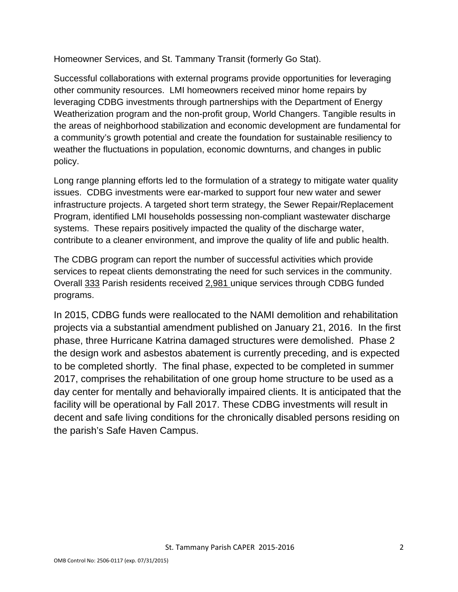Homeowner Services, and St. Tammany Transit (formerly Go Stat).

Successful collaborations with external programs provide opportunities for leveraging other community resources. LMI homeowners received minor home repairs by leveraging CDBG investments through partnerships with the Department of Energy Weatherization program and the non-profit group, World Changers. Tangible results in the areas of neighborhood stabilization and economic development are fundamental for a community's growth potential and create the foundation for sustainable resiliency to weather the fluctuations in population, economic downturns, and changes in public policy.

Long range planning efforts led to the formulation of a strategy to mitigate water quality issues. CDBG investments were ear-marked to support four new water and sewer infrastructure projects. A targeted short term strategy, the Sewer Repair/Replacement Program, identified LMI households possessing non-compliant wastewater discharge systems. These repairs positively impacted the quality of the discharge water, contribute to a cleaner environment, and improve the quality of life and public health.

The CDBG program can report the number of successful activities which provide services to repeat clients demonstrating the need for such services in the community. Overall 333 Parish residents received 2,981 unique services through CDBG funded programs.

In 2015, CDBG funds were reallocated to the NAMI demolition and rehabilitation projects via a substantial amendment published on January 21, 2016. In the first phase, three Hurricane Katrina damaged structures were demolished. Phase 2 the design work and asbestos abatement is currently preceding, and is expected to be completed shortly. The final phase, expected to be completed in summer 2017, comprises the rehabilitation of one group home structure to be used as a day center for mentally and behaviorally impaired clients. It is anticipated that the facility will be operational by Fall 2017. These CDBG investments will result in decent and safe living conditions for the chronically disabled persons residing on the parish's Safe Haven Campus.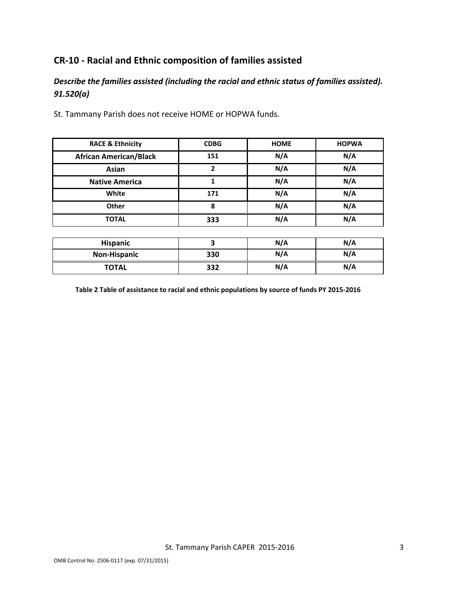# **CR‐10 ‐ Racial and Ethnic composition of families assisted**

# *Describe the families assisted (including the racial and ethnic status of families assisted). 91.520(a)*

| <b>RACE &amp; Ethnicity</b>   | <b>CDBG</b> | <b>HOME</b> | <b>HOPWA</b> |  |
|-------------------------------|-------------|-------------|--------------|--|
| <b>African American/Black</b> | N/A<br>151  |             | N/A          |  |
| Asian                         | 2           | N/A         | N/A          |  |
| <b>Native America</b>         |             | N/A         | N/A          |  |
| White                         | 171         | N/A         | N/A          |  |
| <b>Other</b>                  | 8           | N/A         | N/A          |  |
| <b>TOTAL</b>                  | 333         | N/A         | N/A          |  |

St. Tammany Parish does not receive HOME or HOPWA funds.

| <b>Hispanic</b>     |     | N/A | N/A |
|---------------------|-----|-----|-----|
| <b>Non-Hispanic</b> | 330 | N/A | N/A |
| <b>TOTAL</b>        | 332 | N/A | N/A |

**Table 2 Table of assistance to racial and ethnic populations by source of funds PY 2015‐2016**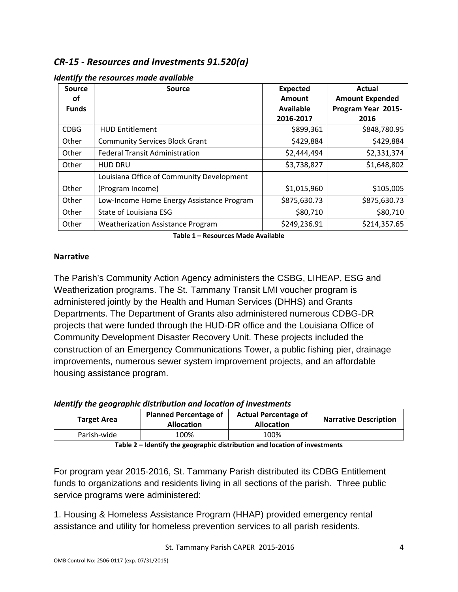# *CR‐15 ‐ Resources and Investments 91.520(a)*

| <b>Source</b><br>οf<br><b>Funds</b> | <b>Source</b>                             | <b>Expected</b><br><b>Amount</b><br>Available | Actual<br><b>Amount Expended</b><br>Program Year 2015- |  |
|-------------------------------------|-------------------------------------------|-----------------------------------------------|--------------------------------------------------------|--|
|                                     |                                           | 2016-2017                                     | 2016                                                   |  |
| <b>CDBG</b>                         | <b>HUD Entitlement</b>                    | \$899,361                                     | \$848,780.95                                           |  |
| Other                               | <b>Community Services Block Grant</b>     | \$429,884                                     | \$429,884                                              |  |
| Other                               | <b>Federal Transit Administration</b>     | \$2,444,494                                   | \$2,331,374                                            |  |
| Other                               | <b>HUD DRU</b>                            | \$3,738,827                                   | \$1,648,802                                            |  |
|                                     | Louisiana Office of Community Development |                                               |                                                        |  |
| Other                               | (Program Income)                          | \$1,015,960                                   | \$105,005                                              |  |
| Other                               | Low-Income Home Energy Assistance Program | \$875,630.73                                  | \$875,630.73                                           |  |
| Other                               | State of Louisiana ESG                    | \$80,710                                      | \$80,710                                               |  |
| Other                               | <b>Weatherization Assistance Program</b>  | \$249,236.91                                  | \$214,357.65                                           |  |

*Identify the resources made available* 

**Table 1 – Resources Made Available**

#### **Narrative**

The Parish's Community Action Agency administers the CSBG, LIHEAP, ESG and Weatherization programs. The St. Tammany Transit LMI voucher program is administered jointly by the Health and Human Services (DHHS) and Grants Departments. The Department of Grants also administered numerous CDBG-DR projects that were funded through the HUD-DR office and the Louisiana Office of Community Development Disaster Recovery Unit. These projects included the construction of an Emergency Communications Tower, a public fishing pier, drainage improvements, numerous sewer system improvement projects, and an affordable housing assistance program.

#### *Identify the geographic distribution and location of investments*

| <b>Target Area</b> | <b>Planned Percentage of</b><br><b>Allocation</b> | <b>Actual Percentage of</b><br><b>Allocation</b> | <b>Narrative Description</b> |
|--------------------|---------------------------------------------------|--------------------------------------------------|------------------------------|
| Parish-wide        | 100%                                              | 100%                                             |                              |

**Table 2 – Identify the geographic distribution and location of investments**

For program year 2015-2016, St. Tammany Parish distributed its CDBG Entitlement funds to organizations and residents living in all sections of the parish. Three public service programs were administered:

1. Housing & Homeless Assistance Program (HHAP) provided emergency rental assistance and utility for homeless prevention services to all parish residents.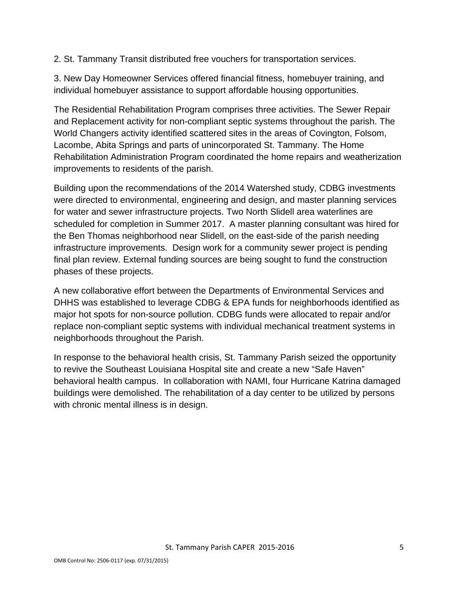2. St. Tammany Transit distributed free vouchers for transportation services.

3. New Day Homeowner Services offered financial fitness, homebuyer training, and individual homebuyer assistance to support affordable housing opportunities.

The Residential Rehabilitation Program comprises three activities. The Sewer Repair and Replacement activity for non-compliant septic systems throughout the parish. The World Changers activity identified scattered sites in the areas of Covington, Folsom, Lacombe, Abita Springs and parts of unincorporated St. Tammany. The Home Rehabilitation Administration Program coordinated the home repairs and weatherization improvements to residents of the parish.

Building upon the recommendations of the 2014 Watershed study, CDBG investments were directed to environmental, engineering and design, and master planning services for water and sewer infrastructure projects. Two North Slidell area waterlines are scheduled for completion in Summer 2017. A master planning consultant was hired for the Ben Thomas neighborhood near Slidell, on the east-side of the parish needing infrastructure improvements. Design work for a community sewer project is pending final plan review. External funding sources are being sought to fund the construction phases of these projects.

A new collaborative effort between the Departments of Environmental Services and DHHS was established to leverage CDBG & EPA funds for neighborhoods identified as major hot spots for non-source pollution. CDBG funds were allocated to repair and/or replace non-compliant septic systems with individual mechanical treatment systems in neighborhoods throughout the Parish.

In response to the behavioral health crisis, St. Tammany Parish seized the opportunity to revive the Southeast Louisiana Hospital site and create a new "Safe Haven" behavioral health campus. In collaboration with NAMI, four Hurricane Katrina damaged buildings were demolished. The rehabilitation of a day center to be utilized by persons with chronic mental illness is in design.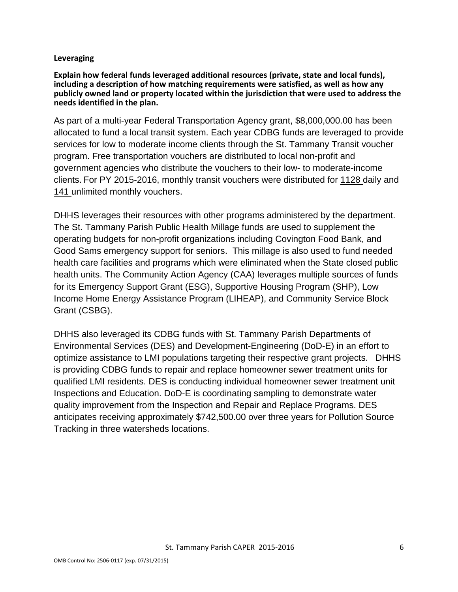#### **Leveraging**

**Explain how federal funds leveraged additional resources (private, state and local funds), including a description of how matching requirements were satisfied, as well as how any publicly owned land or property located within the jurisdiction that were used to address the needs identified in the plan.**

As part of a multi-year Federal Transportation Agency grant, \$8,000,000.00 has been allocated to fund a local transit system. Each year CDBG funds are leveraged to provide services for low to moderate income clients through the St. Tammany Transit voucher program. Free transportation vouchers are distributed to local non-profit and government agencies who distribute the vouchers to their low- to moderate-income clients. For PY 2015-2016, monthly transit vouchers were distributed for 1128 daily and 141 unlimited monthly vouchers.

DHHS leverages their resources with other programs administered by the department. The St. Tammany Parish Public Health Millage funds are used to supplement the operating budgets for non-profit organizations including Covington Food Bank, and Good Sams emergency support for seniors. This millage is also used to fund needed health care facilities and programs which were eliminated when the State closed public health units. The Community Action Agency (CAA) leverages multiple sources of funds for its Emergency Support Grant (ESG), Supportive Housing Program (SHP), Low Income Home Energy Assistance Program (LIHEAP), and Community Service Block Grant (CSBG).

DHHS also leveraged its CDBG funds with St. Tammany Parish Departments of Environmental Services (DES) and Development-Engineering (DoD-E) in an effort to optimize assistance to LMI populations targeting their respective grant projects. DHHS is providing CDBG funds to repair and replace homeowner sewer treatment units for qualified LMI residents. DES is conducting individual homeowner sewer treatment unit Inspections and Education. DoD-E is coordinating sampling to demonstrate water quality improvement from the Inspection and Repair and Replace Programs. DES anticipates receiving approximately \$742,500.00 over three years for Pollution Source Tracking in three watersheds locations.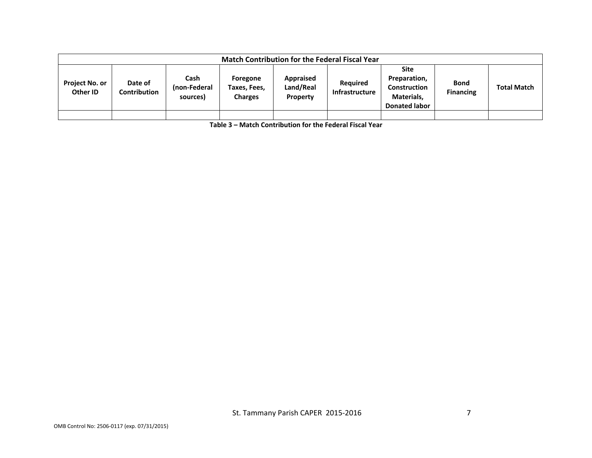| <b>Match Contribution for the Federal Fiscal Year</b> |                         |                                  |                                            |                                    |                                          |                                                                                          |                                 |                    |
|-------------------------------------------------------|-------------------------|----------------------------------|--------------------------------------------|------------------------------------|------------------------------------------|------------------------------------------------------------------------------------------|---------------------------------|--------------------|
| <b>Project No. or</b><br>Other ID                     | Date of<br>Contribution | Cash<br>(non-Federal<br>sources) | Foregone<br>Taxes, Fees,<br><b>Charges</b> | Appraised<br>Land/Real<br>Property | <b>Required</b><br><b>Infrastructure</b> | <b>Site</b><br>Preparation,<br><b>Construction</b><br>Materials,<br><b>Donated labor</b> | <b>Bond</b><br><b>Financing</b> | <b>Total Match</b> |
|                                                       |                         |                                  |                                            |                                    |                                          |                                                                                          |                                 |                    |

**Table 3 – Match Contribution for the Federal Fiscal Year**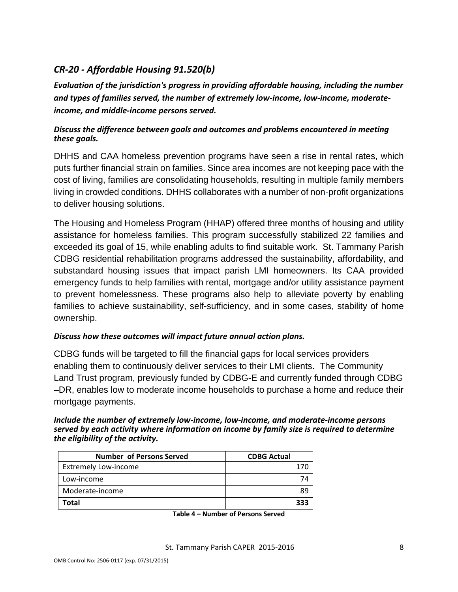# *CR‐20 ‐ Affordable Housing 91.520(b)*

*Evaluation of the jurisdiction's progress in providing affordable housing, including the number and types of families served, the number of extremely low‐income, low‐income, moderate‐ income, and middle‐income persons served.*

#### *Discuss the difference between goals and outcomes and problems encountered in meeting these goals.*

DHHS and CAA homeless prevention programs have seen a rise in rental rates, which puts further financial strain on families. Since area incomes are not keeping pace with the cost of living, families are consolidating households, resulting in multiple family members living in crowded conditions. DHHS collaborates with a number of non-profit organizations to deliver housing solutions.

The Housing and Homeless Program (HHAP) offered three months of housing and utility assistance for homeless families. This program successfully stabilized 22 families and exceeded its goal of 15, while enabling adults to find suitable work. St. Tammany Parish CDBG residential rehabilitation programs addressed the sustainability, affordability, and substandard housing issues that impact parish LMI homeowners. Its CAA provided emergency funds to help families with rental, mortgage and/or utility assistance payment to prevent homelessness. These programs also help to alleviate poverty by enabling families to achieve sustainability, self-sufficiency, and in some cases, stability of home ownership.

#### *Discuss how these outcomes will impact future annual action plans.*

CDBG funds will be targeted to fill the financial gaps for local services providers enabling them to continuously deliver services to their LMI clients. The Community Land Trust program, previously funded by CDBG-E and currently funded through CDBG –DR, enables low to moderate income households to purchase a home and reduce their mortgage payments.

#### *Include the number of extremely low‐income, low‐income, and moderate‐income persons served by each activity where information on income by family size is required to determine the eligibility of the activity.*

| <b>Number of Persons Served</b> | <b>CDBG Actual</b> |
|---------------------------------|--------------------|
| <b>Extremely Low-income</b>     | 170                |
| Low-income                      | 74                 |
| Moderate-income                 | χq                 |
| Total                           | २२२                |

**Table 4 – Number of Persons Served**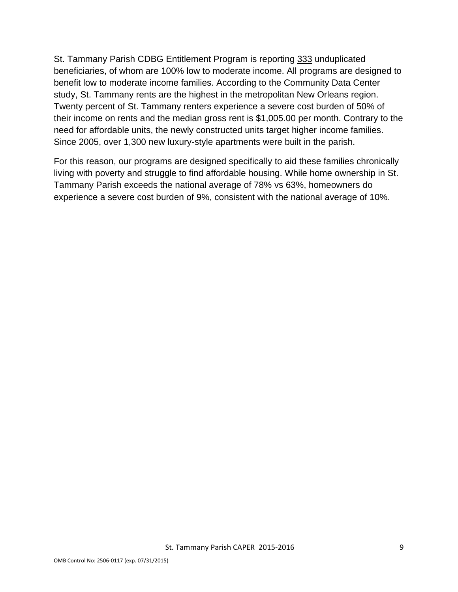St. Tammany Parish CDBG Entitlement Program is reporting 333 unduplicated beneficiaries, of whom are 100% low to moderate income. All programs are designed to benefit low to moderate income families. According to the Community Data Center study, St. Tammany rents are the highest in the metropolitan New Orleans region. Twenty percent of St. Tammany renters experience a severe cost burden of 50% of their income on rents and the median gross rent is \$1,005.00 per month. Contrary to the need for affordable units, the newly constructed units target higher income families. Since 2005, over 1,300 new luxury-style apartments were built in the parish.

For this reason, our programs are designed specifically to aid these families chronically living with poverty and struggle to find affordable housing. While home ownership in St. Tammany Parish exceeds the national average of 78% vs 63%, homeowners do experience a severe cost burden of 9%, consistent with the national average of 10%.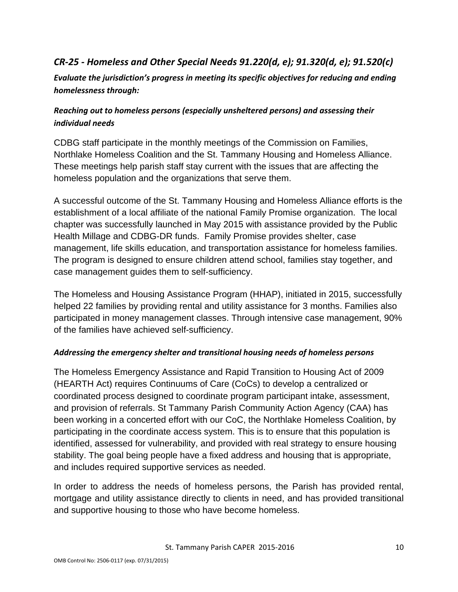# *CR‐25 ‐ Homeless and Other Special Needs 91.220(d, e); 91.320(d, e); 91.520(c)*

*Evaluate the jurisdiction's progress in meeting its specific objectives for reducing and ending homelessness through:* 

# *Reaching out to homeless persons (especially unsheltered persons) and assessing their individual needs*

CDBG staff participate in the monthly meetings of the Commission on Families, Northlake Homeless Coalition and the St. Tammany Housing and Homeless Alliance. These meetings help parish staff stay current with the issues that are affecting the homeless population and the organizations that serve them.

A successful outcome of the St. Tammany Housing and Homeless Alliance efforts is the establishment of a local affiliate of the national Family Promise organization. The local chapter was successfully launched in May 2015 with assistance provided by the Public Health Millage and CDBG-DR funds. Family Promise provides shelter, case management, life skills education, and transportation assistance for homeless families. The program is designed to ensure children attend school, families stay together, and case management guides them to self-sufficiency.

The Homeless and Housing Assistance Program (HHAP), initiated in 2015, successfully helped 22 families by providing rental and utility assistance for 3 months. Families also participated in money management classes. Through intensive case management, 90% of the families have achieved self-sufficiency.

#### *Addressing the emergency shelter and transitional housing needs of homeless persons*

The Homeless Emergency Assistance and Rapid Transition to Housing Act of 2009 (HEARTH Act) requires Continuums of Care (CoCs) to develop a centralized or coordinated process designed to coordinate program participant intake, assessment, and provision of referrals. St Tammany Parish Community Action Agency (CAA) has been working in a concerted effort with our CoC, the Northlake Homeless Coalition, by participating in the coordinate access system. This is to ensure that this population is identified, assessed for vulnerability, and provided with real strategy to ensure housing stability. The goal being people have a fixed address and housing that is appropriate, and includes required supportive services as needed.

In order to address the needs of homeless persons, the Parish has provided rental, mortgage and utility assistance directly to clients in need, and has provided transitional and supportive housing to those who have become homeless.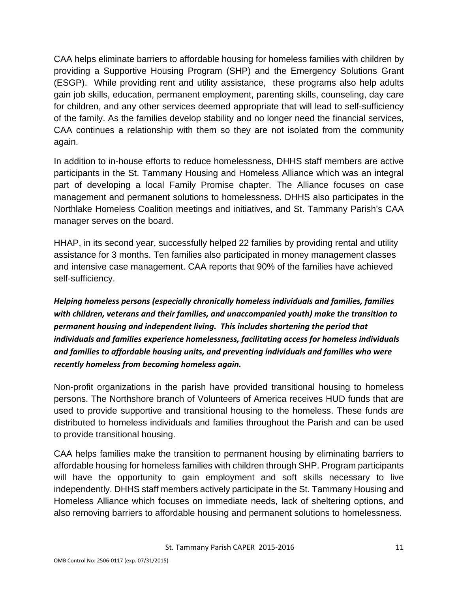CAA helps eliminate barriers to affordable housing for homeless families with children by providing a Supportive Housing Program (SHP) and the Emergency Solutions Grant (ESGP). While providing rent and utility assistance, these programs also help adults gain job skills, education, permanent employment, parenting skills, counseling, day care for children, and any other services deemed appropriate that will lead to self-sufficiency of the family. As the families develop stability and no longer need the financial services, CAA continues a relationship with them so they are not isolated from the community again.

In addition to in-house efforts to reduce homelessness, DHHS staff members are active participants in the St. Tammany Housing and Homeless Alliance which was an integral part of developing a local Family Promise chapter. The Alliance focuses on case management and permanent solutions to homelessness. DHHS also participates in the Northlake Homeless Coalition meetings and initiatives, and St. Tammany Parish's CAA manager serves on the board.

HHAP, in its second year, successfully helped 22 families by providing rental and utility assistance for 3 months. Ten families also participated in money management classes and intensive case management. CAA reports that 90% of the families have achieved self-sufficiency.

*Helping homeless persons (especially chronically homeless individuals and families, families with children, veterans and their families, and unaccompanied youth) make the transition to permanent housing and independent living. This includes shortening the period that individuals and families experience homelessness, facilitating access for homeless individuals and families to affordable housing units, and preventing individuals and families who were recently homeless from becoming homeless again.*

Non-profit organizations in the parish have provided transitional housing to homeless persons. The Northshore branch of Volunteers of America receives HUD funds that are used to provide supportive and transitional housing to the homeless. These funds are distributed to homeless individuals and families throughout the Parish and can be used to provide transitional housing.

CAA helps families make the transition to permanent housing by eliminating barriers to affordable housing for homeless families with children through SHP. Program participants will have the opportunity to gain employment and soft skills necessary to live independently. DHHS staff members actively participate in the St. Tammany Housing and Homeless Alliance which focuses on immediate needs, lack of sheltering options, and also removing barriers to affordable housing and permanent solutions to homelessness.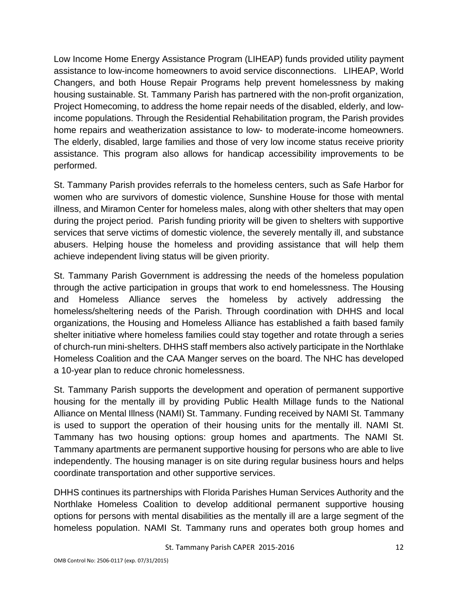Low Income Home Energy Assistance Program (LIHEAP) funds provided utility payment assistance to low-income homeowners to avoid service disconnections. LIHEAP, World Changers, and both House Repair Programs help prevent homelessness by making housing sustainable. St. Tammany Parish has partnered with the non-profit organization, Project Homecoming, to address the home repair needs of the disabled, elderly, and lowincome populations. Through the Residential Rehabilitation program, the Parish provides home repairs and weatherization assistance to low- to moderate-income homeowners. The elderly, disabled, large families and those of very low income status receive priority assistance. This program also allows for handicap accessibility improvements to be performed.

St. Tammany Parish provides referrals to the homeless centers, such as Safe Harbor for women who are survivors of domestic violence, Sunshine House for those with mental illness, and Miramon Center for homeless males, along with other shelters that may open during the project period. Parish funding priority will be given to shelters with supportive services that serve victims of domestic violence, the severely mentally ill, and substance abusers. Helping house the homeless and providing assistance that will help them achieve independent living status will be given priority.

St. Tammany Parish Government is addressing the needs of the homeless population through the active participation in groups that work to end homelessness. The Housing and Homeless Alliance serves the homeless by actively addressing the homeless/sheltering needs of the Parish. Through coordination with DHHS and local organizations, the Housing and Homeless Alliance has established a faith based family shelter initiative where homeless families could stay together and rotate through a series of church-run mini-shelters. DHHS staff members also actively participate in the Northlake Homeless Coalition and the CAA Manger serves on the board. The NHC has developed a 10-year plan to reduce chronic homelessness.

St. Tammany Parish supports the development and operation of permanent supportive housing for the mentally ill by providing Public Health Millage funds to the National Alliance on Mental Illness (NAMI) St. Tammany. Funding received by NAMI St. Tammany is used to support the operation of their housing units for the mentally ill. NAMI St. Tammany has two housing options: group homes and apartments. The NAMI St. Tammany apartments are permanent supportive housing for persons who are able to live independently. The housing manager is on site during regular business hours and helps coordinate transportation and other supportive services.

DHHS continues its partnerships with Florida Parishes Human Services Authority and the Northlake Homeless Coalition to develop additional permanent supportive housing options for persons with mental disabilities as the mentally ill are a large segment of the homeless population. NAMI St. Tammany runs and operates both group homes and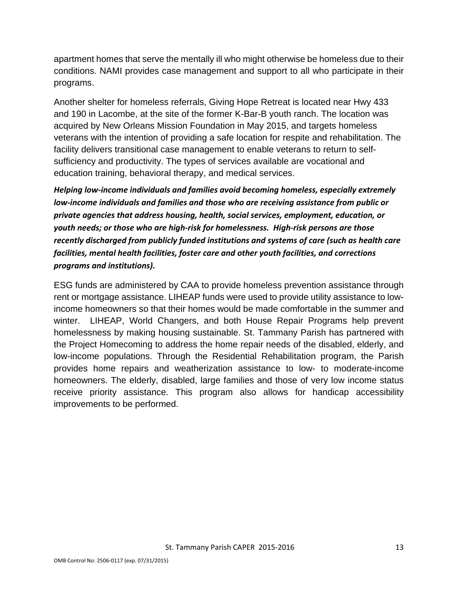apartment homes that serve the mentally ill who might otherwise be homeless due to their conditions. NAMI provides case management and support to all who participate in their programs.

Another shelter for homeless referrals, Giving Hope Retreat is located near Hwy 433 and 190 in Lacombe, at the site of the former K-Bar-B youth ranch. The location was acquired by New Orleans Mission Foundation in May 2015, and targets homeless veterans with the intention of providing a safe location for respite and rehabilitation. The facility delivers transitional case management to enable veterans to return to selfsufficiency and productivity. The types of services available are vocational and education training, behavioral therapy, and medical services.

*Helping low‐income individuals and families avoid becoming homeless, especially extremely low‐income individuals and families and those who are receiving assistance from public or private agencies that address housing, health, social services, employment, education, or youth needs; or those who are high‐risk for homelessness. High‐risk persons are those recently discharged from publicly funded institutions and systems of care (such as health care facilities, mental health facilities, foster care and other youth facilities, and corrections programs and institutions).* 

ESG funds are administered by CAA to provide homeless prevention assistance through rent or mortgage assistance. LIHEAP funds were used to provide utility assistance to lowincome homeowners so that their homes would be made comfortable in the summer and winter. LIHEAP, World Changers, and both House Repair Programs help prevent homelessness by making housing sustainable. St. Tammany Parish has partnered with the Project Homecoming to address the home repair needs of the disabled, elderly, and low-income populations. Through the Residential Rehabilitation program, the Parish provides home repairs and weatherization assistance to low- to moderate-income homeowners. The elderly, disabled, large families and those of very low income status receive priority assistance. This program also allows for handicap accessibility improvements to be performed.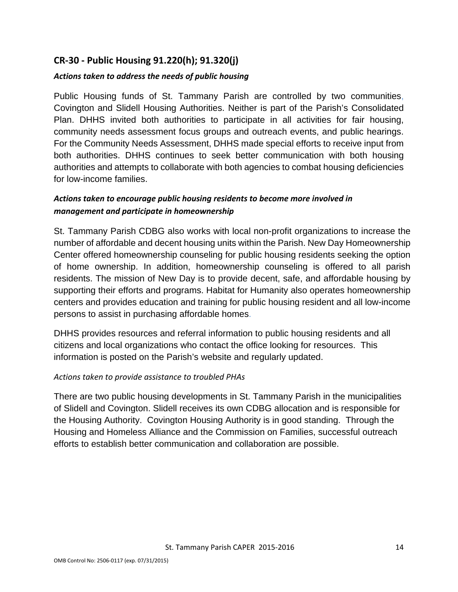# **CR‐30 ‐ Public Housing 91.220(h); 91.320(j)**

#### *Actions taken to address the needs of public housing*

Public Housing funds of St. Tammany Parish are controlled by two communities, Covington and Slidell Housing Authorities. Neither is part of the Parish's Consolidated Plan. DHHS invited both authorities to participate in all activities for fair housing, community needs assessment focus groups and outreach events, and public hearings. For the Community Needs Assessment, DHHS made special efforts to receive input from both authorities. DHHS continues to seek better communication with both housing authorities and attempts to collaborate with both agencies to combat housing deficiencies for low-income families.

# *Actions taken to encourage public housing residents to become more involved in management and participate in homeownership*

St. Tammany Parish CDBG also works with local non-profit organizations to increase the number of affordable and decent housing units within the Parish. New Day Homeownership Center offered homeownership counseling for public housing residents seeking the option of home ownership. In addition, homeownership counseling is offered to all parish residents. The mission of New Day is to provide decent, safe, and affordable housing by supporting their efforts and programs. Habitat for Humanity also operates homeownership centers and provides education and training for public housing resident and all low-income persons to assist in purchasing affordable homes.

DHHS provides resources and referral information to public housing residents and all citizens and local organizations who contact the office looking for resources. This information is posted on the Parish's website and regularly updated.

#### *Actions taken to provide assistance to troubled PHAs*

There are two public housing developments in St. Tammany Parish in the municipalities of Slidell and Covington. Slidell receives its own CDBG allocation and is responsible for the Housing Authority. Covington Housing Authority is in good standing. Through the Housing and Homeless Alliance and the Commission on Families, successful outreach efforts to establish better communication and collaboration are possible.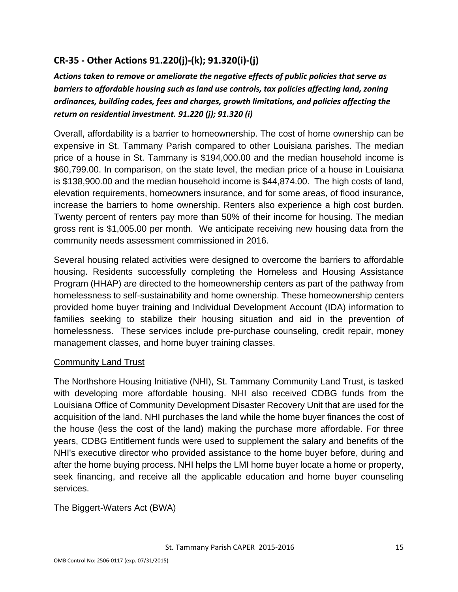# **CR‐35 ‐ Other Actions 91.220(j)‐(k); 91.320(i)‐(j)**

*Actions taken to remove or ameliorate the negative effects of public policies that serve as barriers to affordable housing such as land use controls, tax policies affecting land, zoning ordinances, building codes, fees and charges, growth limitations, and policies affecting the return on residential investment. 91.220 (j); 91.320 (i)*

Overall, affordability is a barrier to homeownership. The cost of home ownership can be expensive in St. Tammany Parish compared to other Louisiana parishes. The median price of a house in St. Tammany is \$194,000.00 and the median household income is \$60,799.00. In comparison, on the state level, the median price of a house in Louisiana is \$138,900.00 and the median household income is \$44,874.00. The high costs of land, elevation requirements, homeowners insurance, and for some areas, of flood insurance, increase the barriers to home ownership. Renters also experience a high cost burden. Twenty percent of renters pay more than 50% of their income for housing. The median gross rent is \$1,005.00 per month. We anticipate receiving new housing data from the community needs assessment commissioned in 2016.

Several housing related activities were designed to overcome the barriers to affordable housing. Residents successfully completing the Homeless and Housing Assistance Program (HHAP) are directed to the homeownership centers as part of the pathway from homelessness to self-sustainability and home ownership. These homeownership centers provided home buyer training and Individual Development Account (IDA) information to families seeking to stabilize their housing situation and aid in the prevention of homelessness. These services include pre-purchase counseling, credit repair, money management classes, and home buyer training classes.

### Community Land Trust

The Northshore Housing Initiative (NHI), St. Tammany Community Land Trust, is tasked with developing more affordable housing. NHI also received CDBG funds from the Louisiana Office of Community Development Disaster Recovery Unit that are used for the acquisition of the land. NHI purchases the land while the home buyer finances the cost of the house (less the cost of the land) making the purchase more affordable. For three years, CDBG Entitlement funds were used to supplement the salary and benefits of the NHI's executive director who provided assistance to the home buyer before, during and after the home buying process. NHI helps the LMI home buyer locate a home or property, seek financing, and receive all the applicable education and home buyer counseling services.

#### The Biggert-Waters Act (BWA)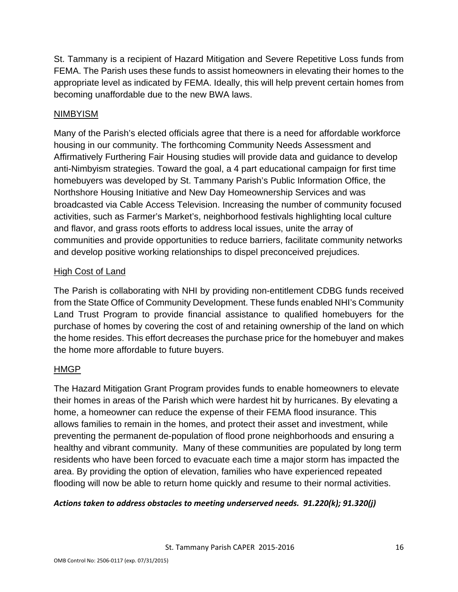St. Tammany is a recipient of Hazard Mitigation and Severe Repetitive Loss funds from FEMA. The Parish uses these funds to assist homeowners in elevating their homes to the appropriate level as indicated by FEMA. Ideally, this will help prevent certain homes from becoming unaffordable due to the new BWA laws.

# NIMBYISM

Many of the Parish's elected officials agree that there is a need for affordable workforce housing in our community. The forthcoming Community Needs Assessment and Affirmatively Furthering Fair Housing studies will provide data and guidance to develop anti-Nimbyism strategies. Toward the goal, a 4 part educational campaign for first time homebuyers was developed by St. Tammany Parish's Public Information Office, the Northshore Housing Initiative and New Day Homeownership Services and was broadcasted via Cable Access Television. Increasing the number of community focused activities, such as Farmer's Market's, neighborhood festivals highlighting local culture and flavor, and grass roots efforts to address local issues, unite the array of communities and provide opportunities to reduce barriers, facilitate community networks and develop positive working relationships to dispel preconceived prejudices.

# High Cost of Land

The Parish is collaborating with NHI by providing non-entitlement CDBG funds received from the State Office of Community Development. These funds enabled NHI's Community Land Trust Program to provide financial assistance to qualified homebuyers for the purchase of homes by covering the cost of and retaining ownership of the land on which the home resides. This effort decreases the purchase price for the homebuyer and makes the home more affordable to future buyers.

# **HMGP**

The Hazard Mitigation Grant Program provides funds to enable homeowners to elevate their homes in areas of the Parish which were hardest hit by hurricanes. By elevating a home, a homeowner can reduce the expense of their FEMA flood insurance. This allows families to remain in the homes, and protect their asset and investment, while preventing the permanent de-population of flood prone neighborhoods and ensuring a healthy and vibrant community. Many of these communities are populated by long term residents who have been forced to evacuate each time a major storm has impacted the area. By providing the option of elevation, families who have experienced repeated flooding will now be able to return home quickly and resume to their normal activities.

### *Actions taken to address obstacles to meeting underserved needs. 91.220(k); 91.320(j)*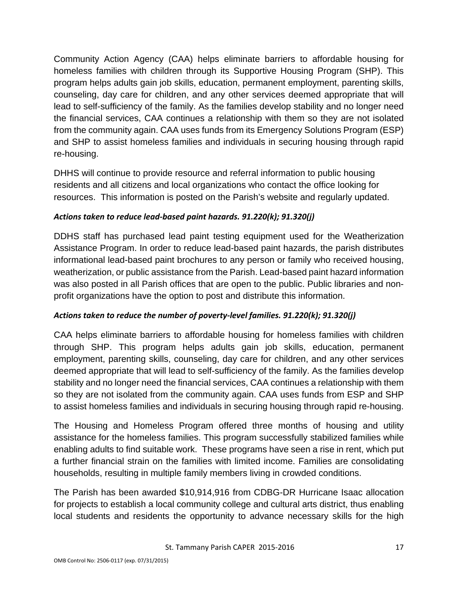Community Action Agency (CAA) helps eliminate barriers to affordable housing for homeless families with children through its Supportive Housing Program (SHP). This program helps adults gain job skills, education, permanent employment, parenting skills, counseling, day care for children, and any other services deemed appropriate that will lead to self-sufficiency of the family. As the families develop stability and no longer need the financial services, CAA continues a relationship with them so they are not isolated from the community again. CAA uses funds from its Emergency Solutions Program (ESP) and SHP to assist homeless families and individuals in securing housing through rapid re-housing.

DHHS will continue to provide resource and referral information to public housing residents and all citizens and local organizations who contact the office looking for resources. This information is posted on the Parish's website and regularly updated.

### *Actions taken to reduce lead‐based paint hazards. 91.220(k); 91.320(j)*

DDHS staff has purchased lead paint testing equipment used for the Weatherization Assistance Program. In order to reduce lead-based paint hazards, the parish distributes informational lead-based paint brochures to any person or family who received housing, weatherization, or public assistance from the Parish. Lead-based paint hazard information was also posted in all Parish offices that are open to the public. Public libraries and nonprofit organizations have the option to post and distribute this information.

### *Actions taken to reduce the number of poverty‐level families. 91.220(k); 91.320(j)*

CAA helps eliminate barriers to affordable housing for homeless families with children through SHP. This program helps adults gain job skills, education, permanent employment, parenting skills, counseling, day care for children, and any other services deemed appropriate that will lead to self-sufficiency of the family. As the families develop stability and no longer need the financial services, CAA continues a relationship with them so they are not isolated from the community again. CAA uses funds from ESP and SHP to assist homeless families and individuals in securing housing through rapid re-housing.

The Housing and Homeless Program offered three months of housing and utility assistance for the homeless families. This program successfully stabilized families while enabling adults to find suitable work. These programs have seen a rise in rent, which put a further financial strain on the families with limited income. Families are consolidating households, resulting in multiple family members living in crowded conditions.

The Parish has been awarded \$10,914,916 from CDBG-DR Hurricane Isaac allocation for projects to establish a local community college and cultural arts district, thus enabling local students and residents the opportunity to advance necessary skills for the high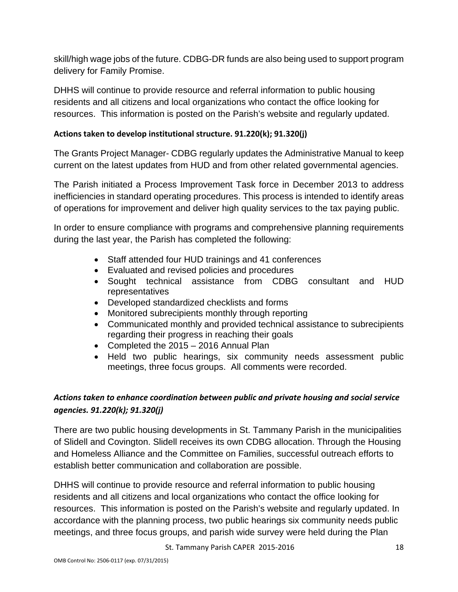skill/high wage jobs of the future. CDBG-DR funds are also being used to support program delivery for Family Promise.

DHHS will continue to provide resource and referral information to public housing residents and all citizens and local organizations who contact the office looking for resources. This information is posted on the Parish's website and regularly updated.

# **Actions taken to develop institutional structure. 91.220(k); 91.320(j)**

The Grants Project Manager- CDBG regularly updates the Administrative Manual to keep current on the latest updates from HUD and from other related governmental agencies.

The Parish initiated a Process Improvement Task force in December 2013 to address inefficiencies in standard operating procedures. This process is intended to identify areas of operations for improvement and deliver high quality services to the tax paying public.

In order to ensure compliance with programs and comprehensive planning requirements during the last year, the Parish has completed the following:

- Staff attended four HUD trainings and 41 conferences
- Evaluated and revised policies and procedures
- Sought technical assistance from CDBG consultant and HUD representatives
- Developed standardized checklists and forms
- Monitored subrecipients monthly through reporting
- Communicated monthly and provided technical assistance to subrecipients regarding their progress in reaching their goals
- Completed the 2015 2016 Annual Plan
- Held two public hearings, six community needs assessment public meetings, three focus groups. All comments were recorded.

# *Actions taken to enhance coordination between public and private housing and social service agencies. 91.220(k); 91.320(j)*

There are two public housing developments in St. Tammany Parish in the municipalities of Slidell and Covington. Slidell receives its own CDBG allocation. Through the Housing and Homeless Alliance and the Committee on Families, successful outreach efforts to establish better communication and collaboration are possible.

DHHS will continue to provide resource and referral information to public housing residents and all citizens and local organizations who contact the office looking for resources. This information is posted on the Parish's website and regularly updated. In accordance with the planning process, two public hearings six community needs public meetings, and three focus groups, and parish wide survey were held during the Plan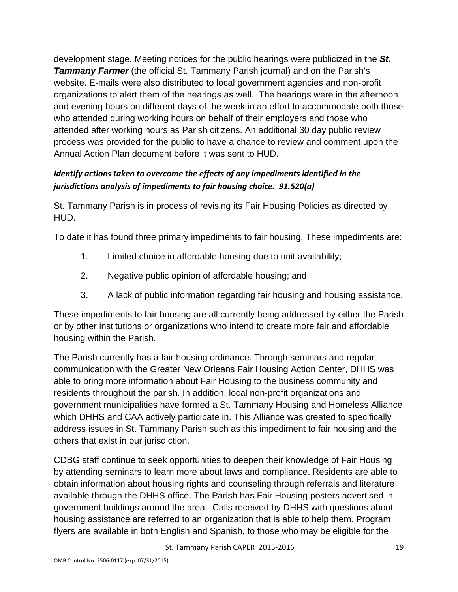development stage. Meeting notices for the public hearings were publicized in the *St.*  **Tammany Farmer** (the official St. Tammany Parish journal) and on the Parish's website. E-mails were also distributed to local government agencies and non-profit organizations to alert them of the hearings as well. The hearings were in the afternoon and evening hours on different days of the week in an effort to accommodate both those who attended during working hours on behalf of their employers and those who attended after working hours as Parish citizens. An additional 30 day public review process was provided for the public to have a chance to review and comment upon the Annual Action Plan document before it was sent to HUD.

# *Identify actions taken to overcome the effects of any impediments identified in the jurisdictions analysis of impediments to fair housing choice. 91.520(a)*

St. Tammany Parish is in process of revising its Fair Housing Policies as directed by HUD.

To date it has found three primary impediments to fair housing. These impediments are:

- 1. Limited choice in affordable housing due to unit availability;
- 2. Negative public opinion of affordable housing; and
- 3. A lack of public information regarding fair housing and housing assistance.

These impediments to fair housing are all currently being addressed by either the Parish or by other institutions or organizations who intend to create more fair and affordable housing within the Parish.

The Parish currently has a fair housing ordinance. Through seminars and regular communication with the Greater New Orleans Fair Housing Action Center, DHHS was able to bring more information about Fair Housing to the business community and residents throughout the parish. In addition, local non-profit organizations and government municipalities have formed a St. Tammany Housing and Homeless Alliance which DHHS and CAA actively participate in. This Alliance was created to specifically address issues in St. Tammany Parish such as this impediment to fair housing and the others that exist in our jurisdiction.

CDBG staff continue to seek opportunities to deepen their knowledge of Fair Housing by attending seminars to learn more about laws and compliance. Residents are able to obtain information about housing rights and counseling through referrals and literature available through the DHHS office. The Parish has Fair Housing posters advertised in government buildings around the area. Calls received by DHHS with questions about housing assistance are referred to an organization that is able to help them. Program flyers are available in both English and Spanish, to those who may be eligible for the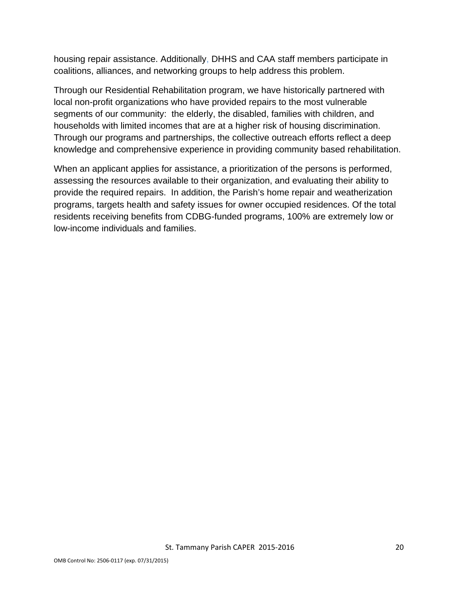housing repair assistance. Additionally, DHHS and CAA staff members participate in coalitions, alliances, and networking groups to help address this problem.

Through our Residential Rehabilitation program, we have historically partnered with local non-profit organizations who have provided repairs to the most vulnerable segments of our community: the elderly, the disabled, families with children, and households with limited incomes that are at a higher risk of housing discrimination. Through our programs and partnerships, the collective outreach efforts reflect a deep knowledge and comprehensive experience in providing community based rehabilitation.

When an applicant applies for assistance, a prioritization of the persons is performed, assessing the resources available to their organization, and evaluating their ability to provide the required repairs. In addition, the Parish's home repair and weatherization programs, targets health and safety issues for owner occupied residences. Of the total residents receiving benefits from CDBG-funded programs, 100% are extremely low or low-income individuals and families.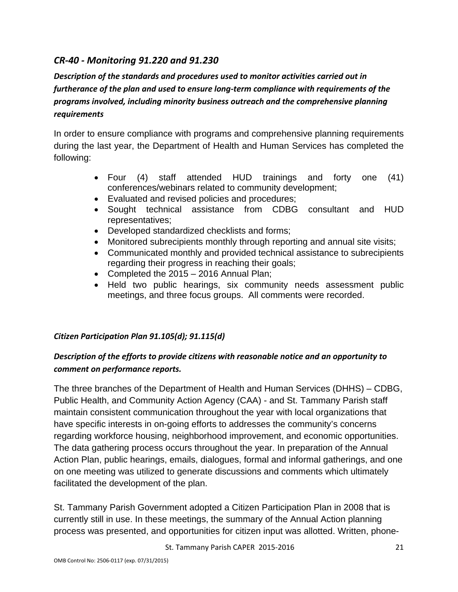# *CR‐40 ‐ Monitoring 91.220 and 91.230*

*Description of the standards and procedures used to monitor activities carried out in furtherance of the plan and used to ensure long‐term compliance with requirements of the programs involved, including minority business outreach and the comprehensive planning requirements*

In order to ensure compliance with programs and comprehensive planning requirements during the last year, the Department of Health and Human Services has completed the following:

- Four (4) staff attended HUD trainings and forty one (41) conferences/webinars related to community development;
- Evaluated and revised policies and procedures;
- Sought technical assistance from CDBG consultant and HUD representatives;
- Developed standardized checklists and forms;
- Monitored subrecipients monthly through reporting and annual site visits;
- Communicated monthly and provided technical assistance to subrecipients regarding their progress in reaching their goals;
- Completed the 2015 2016 Annual Plan;
- Held two public hearings, six community needs assessment public meetings, and three focus groups. All comments were recorded.

### *Citizen Participation Plan 91.105(d); 91.115(d)*

# *Description of the efforts to provide citizens with reasonable notice and an opportunity to comment on performance reports.*

The three branches of the Department of Health and Human Services (DHHS) – CDBG, Public Health, and Community Action Agency (CAA) - and St. Tammany Parish staff maintain consistent communication throughout the year with local organizations that have specific interests in on-going efforts to addresses the community's concerns regarding workforce housing, neighborhood improvement, and economic opportunities. The data gathering process occurs throughout the year. In preparation of the Annual Action Plan, public hearings, emails, dialogues, formal and informal gatherings, and one on one meeting was utilized to generate discussions and comments which ultimately facilitated the development of the plan.

St. Tammany Parish Government adopted a Citizen Participation Plan in 2008 that is currently still in use. In these meetings, the summary of the Annual Action planning process was presented, and opportunities for citizen input was allotted. Written, phone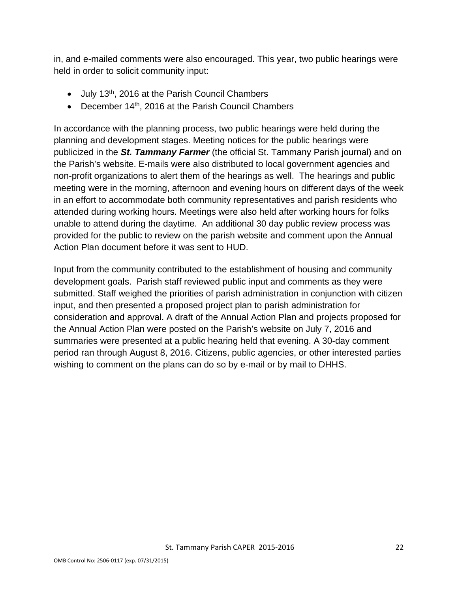in, and e-mailed comments were also encouraged. This year, two public hearings were held in order to solicit community input:

- $\bullet$  July 13<sup>th</sup>, 2016 at the Parish Council Chambers
- December  $14<sup>th</sup>$ , 2016 at the Parish Council Chambers

In accordance with the planning process, two public hearings were held during the planning and development stages. Meeting notices for the public hearings were publicized in the *St. Tammany Farmer* (the official St. Tammany Parish journal) and on the Parish's website. E-mails were also distributed to local government agencies and non-profit organizations to alert them of the hearings as well. The hearings and public meeting were in the morning, afternoon and evening hours on different days of the week in an effort to accommodate both community representatives and parish residents who attended during working hours. Meetings were also held after working hours for folks unable to attend during the daytime. An additional 30 day public review process was provided for the public to review on the parish website and comment upon the Annual Action Plan document before it was sent to HUD.

Input from the community contributed to the establishment of housing and community development goals. Parish staff reviewed public input and comments as they were submitted. Staff weighed the priorities of parish administration in conjunction with citizen input, and then presented a proposed project plan to parish administration for consideration and approval. A draft of the Annual Action Plan and projects proposed for the Annual Action Plan were posted on the Parish's website on July 7, 2016 and summaries were presented at a public hearing held that evening. A 30-day comment period ran through August 8, 2016. Citizens, public agencies, or other interested parties wishing to comment on the plans can do so by e-mail or by mail to DHHS.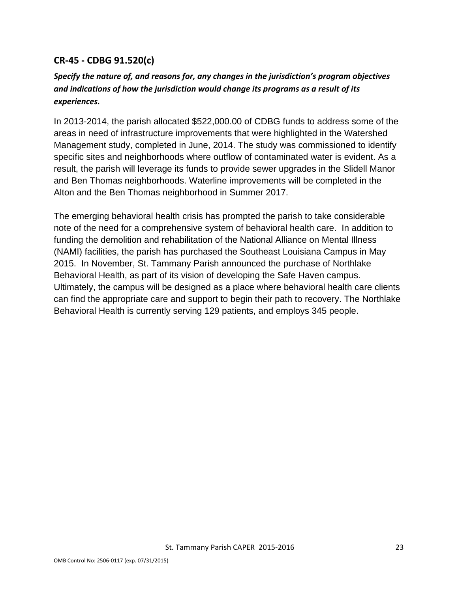# **CR‐45 ‐ CDBG 91.520(c)**

# *Specify the nature of, and reasons for, any changes in the jurisdiction's program objectives and indications of how the jurisdiction would change its programs as a result of its experiences.*

In 2013-2014, the parish allocated \$522,000.00 of CDBG funds to address some of the areas in need of infrastructure improvements that were highlighted in the Watershed Management study, completed in June, 2014. The study was commissioned to identify specific sites and neighborhoods where outflow of contaminated water is evident. As a result, the parish will leverage its funds to provide sewer upgrades in the Slidell Manor and Ben Thomas neighborhoods. Waterline improvements will be completed in the Alton and the Ben Thomas neighborhood in Summer 2017.

The emerging behavioral health crisis has prompted the parish to take considerable note of the need for a comprehensive system of behavioral health care. In addition to funding the demolition and rehabilitation of the National Alliance on Mental Illness (NAMI) facilities, the parish has purchased the Southeast Louisiana Campus in May 2015. In November, St. Tammany Parish announced the purchase of Northlake Behavioral Health, as part of its vision of developing the Safe Haven campus. Ultimately, the campus will be designed as a place where behavioral health care clients can find the appropriate care and support to begin their path to recovery. The Northlake Behavioral Health is currently serving 129 patients, and employs 345 people.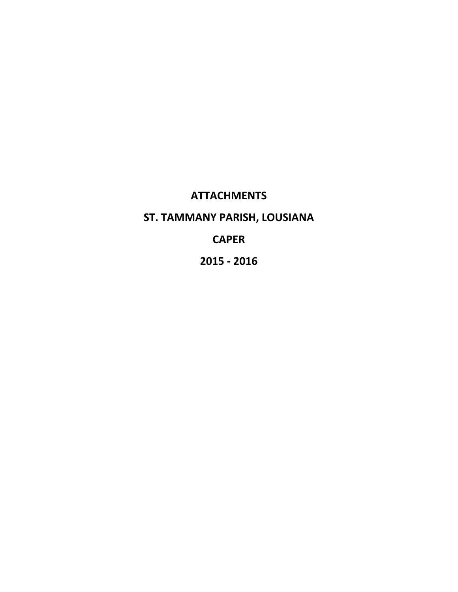# **ATTACHMENTS**

# **ST. TAMMANY PARISH, LOUSIANA**

**CAPER**

**2015 ‐ 2016**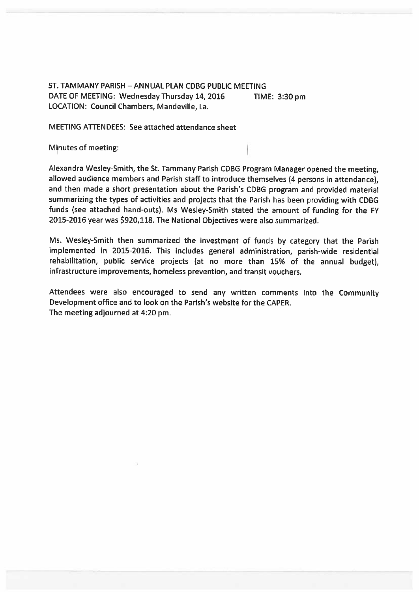ST. TAMMANY PARISH - ANNUAL PLAN CDBG PUBLIC MEETING DATE OF MEETING: Wednesday Thursday 14, 2016 TIME: 3:30 pm LOCATION: Council Chambers, Mandeville, La.

MEETING ATTENDEES: See attached attendance sheet

Minutes of meeting:

Alexandra Wesley-Smith, the St. Tammany Parish CDBG Program Manager opened the meeting. allowed audience members and Parish staff to introduce themselves (4 persons in attendance), and then made a short presentation about the Parish's CDBG program and provided material summarizing the types of activities and projects that the Parish has been providing with CDBG funds (see attached hand-outs). Ms Wesley-Smith stated the amount of funding for the FY 2015-2016 year was \$920,118. The National Objectives were also summarized.

Ms. Wesley-Smith then summarized the investment of funds by category that the Parish implemented in 2015-2016. This includes general administration, parish-wide residential rehabilitation, public service projects (at no more than 15% of the annual budget), infrastructure improvements, homeless prevention, and transit vouchers.

Attendees were also encouraged to send any written comments into the Community Development office and to look on the Parish's website for the CAPER. The meeting adjourned at 4:20 pm.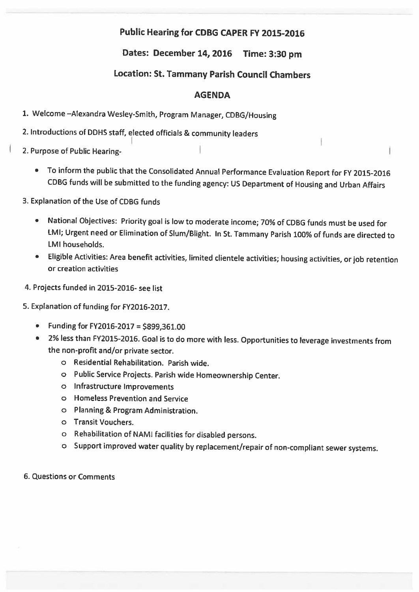# Public Hearing for CDBG CAPER FY 2015-2016

# Dates: December 14, 2016 Time: 3:30 pm

# **Location: St. Tammany Parish Council Chambers**

# **AGENDA**

- 1. Welcome Alexandra Wesley-Smith, Program Manager, CDBG/Housing
- 2. Introductions of DDHS staff, elected officials & community leaders
- 2. Purpose of Public Hearing-
	- To inform the public that the Consolidated Annual Performance Evaluation Report for FY 2015-2016 CDBG funds will be submitted to the funding agency: US Department of Housing and Urban Affairs
	- 3. Explanation of the Use of CDBG funds
		- . National Objectives: Priority goal is low to moderate income; 70% of CDBG funds must be used for LMI; Urgent need or Elimination of Slum/Blight. In St. Tammany Parish 100% of funds are directed to **LMI** households.
		- Eligible Activities: Area benefit activities, limited clientele activities; housing activities, or job retention or creation activities
	- 4. Projects funded in 2015-2016- see list
	- 5. Explanation of funding for FY2016-2017.
		- Funding for FY2016-2017 = \$899,361.00
		- 2% less than FY2015-2016. Goal is to do more with less. Opportunities to leverage investments from the non-profit and/or private sector.
			- O Residential Rehabilitation. Parish wide.
			- o Public Service Projects. Parish wide Homeownership Center.
			- o Infrastructure Improvements
			- o Homeless Prevention and Service
			- o Planning & Program Administration.
			- o Transit Vouchers.
			- o Rehabilitation of NAMI facilities for disabled persons.
			- o Support improved water quality by replacement/repair of non-compliant sewer systems.
	- **6. Questions or Comments**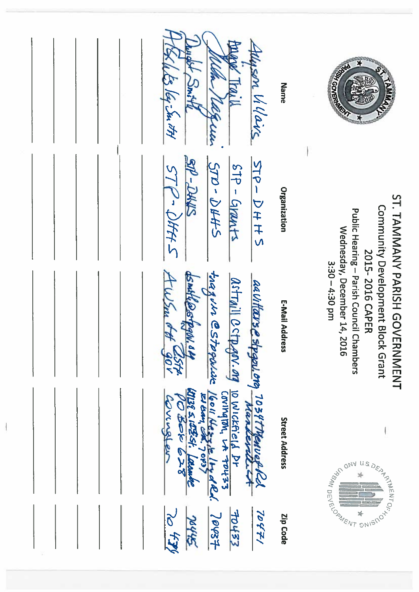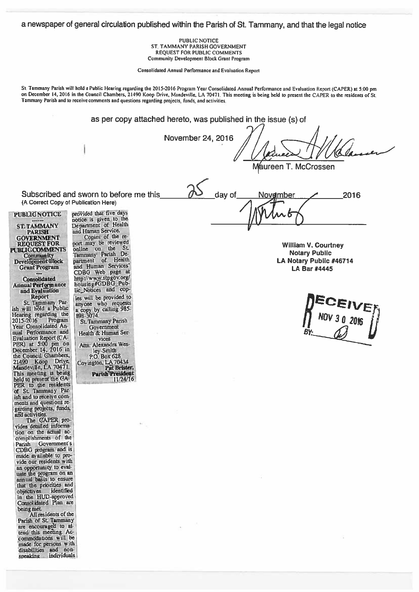#### a newspaper of general circulation published within the Parish of St. Tammany, and that the legal notice

**PUBLIC NOTICE** ST, TAMMANY PARISH GOVERNMENT **REQUEST FOR PUBLIC COMMENTS Community Development Block Grant Program** 

Consolidated Annual Performance and Evaluation Report

St. Tammany Parish will hold a Public Hearing regarding the 2015-2016 Program Year Consolidated Annual Performance and Evaluation Report (CAPER) at 5:00 pm on December 14, 2016 in the Council Chambers, 21490 Koop Drive, Mandeville, LA 70471. This meeting is being held to present the CAPER to the residents of St. Tammany Parish and to receive comments and questions regarding projects, funds, and activities.

as per copy attached hereto, was published in the issue (s) of

November 24, 2016

Maureen T. McCrossen

(A Correct Copy of Publication Here)

dav of 2016

> William V. Courtney **Notary Public** LA Notary Public #46714 **LA Bar #4445**

Subscribed and sworn to before me this

**PUBLIC NOTICE** 

**ST. TAMMANY PARISH**<br>GOVERNMENT **REQUEST FOR<br>PUBLIC COMMENTS** Community Development Block **Grant Program** 

Consolidated **Annual Performance** and Eyaluation **Report** 

St. Tammany Parish will hold a Public Hearing regarding the<br>2015-2016 Program<br>Year Consolidated An-<br>nual Performance and nual Performance and<br>Eyaluation Report (CA-<br>PER) at 5:00 pm on<br>December 14, 2016 in<br>the Council Ghambers,<br>21490 Koop Drive,<br>Mandeville, LA 70471.<br>This meeting is being<br>held to present the CA-<br>PER to the residents<br>of St. Ta ish and to receive comments and questions re-<br>garding projects, funds,<br>and activities.<br>The GAPER pro-

vides detailed information on the actual accomplishments of the Parish Government's CDBG program and is made available to provide our residents with an opportunity to evaluate the program on an<br>annual basis to ensure that the priorities and objectives identified<br>in the HUD-approved<br>Consolidated Plan are

being met.<br>All residents of the Parish of St. Tammany are encouraged to attend this meeting. Accommodations will be made for persons with disabilities and nonspeaking individuals

provided that five days notice is given to the<br>Department of Health<br>and Human Service. Copies of the re port may be reviewed<br>online on the St.<br>Tammany Parish De-<br>partment of Health<br>and Human Services' and riumair Services<br>CDBG Web page at<br>http://www.stpgov.org/<br>housing#GDBG\_Pub-<br>lic\_Notices and copies will be provided to anyone who requests<br>a copy by calling 985-<br>898-3074. **St. Tammany Parish** Government Health & Human Services Attn: Alexandra Wesley-Smith<br>P.O. Box 628 Covington, LA 70434<br>Pat Brister,<br>Parish President

11/24/16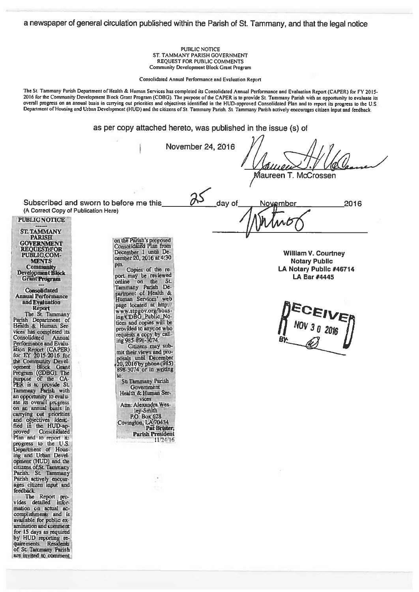PUBLIC NOTICE ST. TAMMANY PARISH GOVERNMENT **REQUEST FOR PUBLIC COMMENTS** Community Development Block Grant Program

Consolidated Annual Performance and Evaluation Report

The St. Tammany Parish Department of Health & Human Services has completed its Consolidated Annual Performance and Evaluation Report (CAPER) for FY 2015-2016 for the Community Development Block Grant Program (CDBG). The purpose of the CAPER is to provide St. Tammany Parish with an opportunity to evaluate its overall progress on an annual basis in carrying out priorities and objectives identified in the HUD-approved Consolidated Plan and to report its progress to the U.S. Department of Housing and Urban Development (HUD) and the citizens of St. Tammany Parish, St. Tammany Parish actively encourages citizen input and feedback.

as per copy attached hereto, was published in the issue (s) of

November 24, 2016

day of

Maureen T. McCrossen

ember

Subscribed and sworn to before me this (A Correct Copy of Publication Here)

**PUBLIC NOTICE** 

**ST. TAMMANY PARISH** GOVERNMENT<br>REQUESTFOR<br>PUBLIC COM-**MENTS Community** Development Block<br>Grant Program

**Consolidated Annual Performance**<br>and Evaluation Report<br>The St. Tammany

Parish Department of<br>Health & Human Services has completed its Consolidated Annual Performance and Evalu-Petromance and Evantalism<br>
ation Report (CAPER)<br>
for EY 2015 2016 for<br>
the Community Development Block Grant Program (CDBG). The purpose of the CA-<br>PER is to provide St.<br>Tammany Parish with an opportunity to evaluate its overall progress<br>on an annual basis in carrying out priorities and objectives identified in the HUD-approved Consolidated Plan and to report its progress to the U.S.<br>Department of Housing and Urban Devel-<br>opment (HUD) and the citizens of St. Tammany<br>Parish. St. Tammany Parish actively encourages citizen input and feedback.

The Report provides detailed information on actual accomplishments and is available for public examination and comment for 15 days as required by HUD reporting requirements. Residents of St. Tammany Parish are invited to comment on the Parish's proposed<br>Consolidated Plan from<br>December 1 until December 20, 2016 at 4:30

pm.

Copies of the re port may be reviewed online on the St.<br>Tammany Parish De Tammany Parish Department of Health & page located at http:// www.stpgoy.org/hous-<br>ing/CDBG\_Public\_Notices and copies will be provided to anyone who requests a copy by calling 985-898-3074. Citizens may sub-

mit their views and pro-<br>posals until December<br>20, 2016 by phone (985)<br>898-3074 or in writing fn.

**St. Tammany Parish** Government Health & Human Services

Atm: Alexandra Wes-<br>ley-Smith<br>P.O. Box 628<br>Covington, LA/70434<br>Pat Brister, **Parish President** 11/24/16

**William V. Courtney Notary Public** LA Notary Public #46714 **LA Bar #4445** 

2016

 $\frac{1}{\sqrt{2}}$   $\frac{3}{2016}$